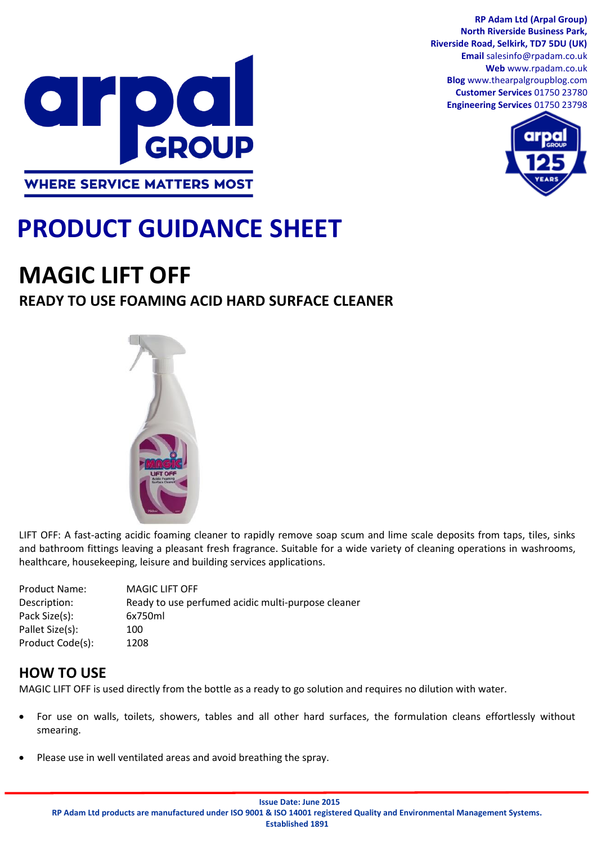

**RP Adam Ltd (Arpal Group) North Riverside Business Park, Riverside Road, Selkirk, TD7 5DU (UK) Email** salesinfo@rpadam.co.uk **Web** www.rpadam.co.uk **Blog** www.thearpalgroupblog.com **Customer Services** 01750 23780 **Engineering Services** 01750 23798



# **PRODUCT GUIDANCE SHEET**

## **MAGIC LIFT OFF**

## **READY TO USE FOAMING ACID HARD SURFACE CLEANER**



LIFT OFF: A fast-acting acidic foaming cleaner to rapidly remove soap scum and lime scale deposits from taps, tiles, sinks and bathroom fittings leaving a pleasant fresh fragrance. Suitable for a wide variety of cleaning operations in washrooms, healthcare, housekeeping, leisure and building services applications.

| <b>Product Name:</b> | <b>MAGIC LIFT OFF</b>                              |
|----------------------|----------------------------------------------------|
| Description:         | Ready to use perfumed acidic multi-purpose cleaner |
| Pack Size(s):        | 6x750ml                                            |
| Pallet Size(s):      | 100                                                |
| Product Code(s):     | 1208                                               |
|                      |                                                    |

## **HOW TO USE**

MAGIC LIFT OFF is used directly from the bottle as a ready to go solution and requires no dilution with water.

- For use on walls, toilets, showers, tables and all other hard surfaces, the formulation cleans effortlessly without smearing.
- Please use in well ventilated areas and avoid breathing the spray.